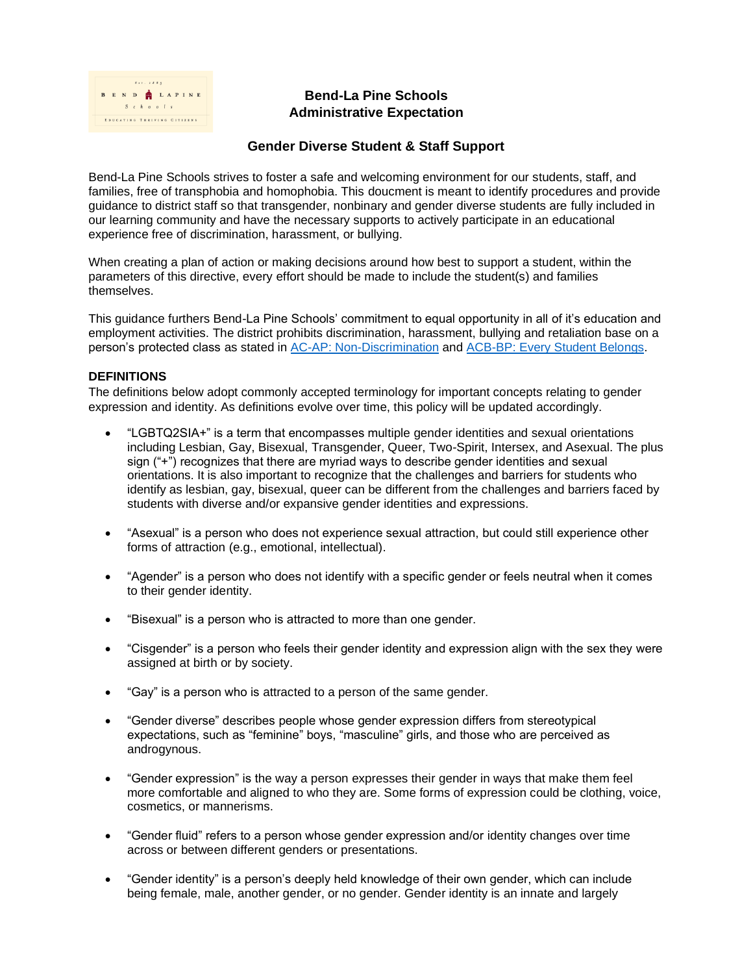

## **Bend-La Pine Schools Administrative Expectation**

## **Gender Diverse Student & Staff Support**

Bend-La Pine Schools strives to foster a safe and welcoming environment for our students, staff, and families, free of transphobia and homophobia. This doucment is meant to identify procedures and provide guidance to district staff so that transgender, nonbinary and gender diverse students are fully included in our learning community and have the necessary supports to actively participate in an educational experience free of discrimination, harassment, or bullying.

When creating a plan of action or making decisions around how best to support a student, within the parameters of this directive, every effort should be made to include the student(s) and families themselves.

This guidance furthers Bend-La Pine Schools' commitment to equal opportunity in all of it's education and employment activities. The district prohibits discrimination, harassment, bullying and retaliation base on a person's protected class as stated in [AC-AP: Non-Discrimination](https://www.bend.k12.or.us/district/organization/policies-search/2019/10/ac-non-discrimination-policy) and [ACB-BP: Every Student Belongs.](https://www.bend.k12.or.us/district/organization/policies-search/2022/04/acb-ap-all-students-belong)

## **DEFINITIONS**

The definitions below adopt commonly accepted terminology for important concepts relating to gender expression and identity. As definitions evolve over time, this policy will be updated accordingly.

- "LGBTQ2SIA+" is a term that encompasses multiple gender identities and sexual orientations including Lesbian, Gay, Bisexual, Transgender, Queer, Two-Spirit, Intersex, and Asexual. The plus sign ("+") recognizes that there are myriad ways to describe gender identities and sexual orientations. It is also important to recognize that the challenges and barriers for students who identify as lesbian, gay, bisexual, queer can be different from the challenges and barriers faced by students with diverse and/or expansive gender identities and expressions.
- "Asexual" is a person who does not experience sexual attraction, but could still experience other forms of attraction (e.g., emotional, intellectual).
- "Agender" is a person who does not identify with a specific gender or feels neutral when it comes to their gender identity.
- "Bisexual" is a person who is attracted to more than one gender.
- "Cisgender" is a person who feels their gender identity and expression align with the sex they were assigned at birth or by society.
- "Gay" is a person who is attracted to a person of the same gender.
- "Gender diverse" describes people whose gender expression differs from stereotypical expectations, such as "feminine" boys, "masculine" girls, and those who are perceived as androgynous.
- "Gender expression" is the way a person expresses their gender in ways that make them feel more comfortable and aligned to who they are. Some forms of expression could be clothing, voice, cosmetics, or mannerisms.
- "Gender fluid" refers to a person whose gender expression and/or identity changes over time across or between different genders or presentations.
- "Gender identity" is a person's deeply held knowledge of their own gender, which can include being female, male, another gender, or no gender. Gender identity is an innate and largely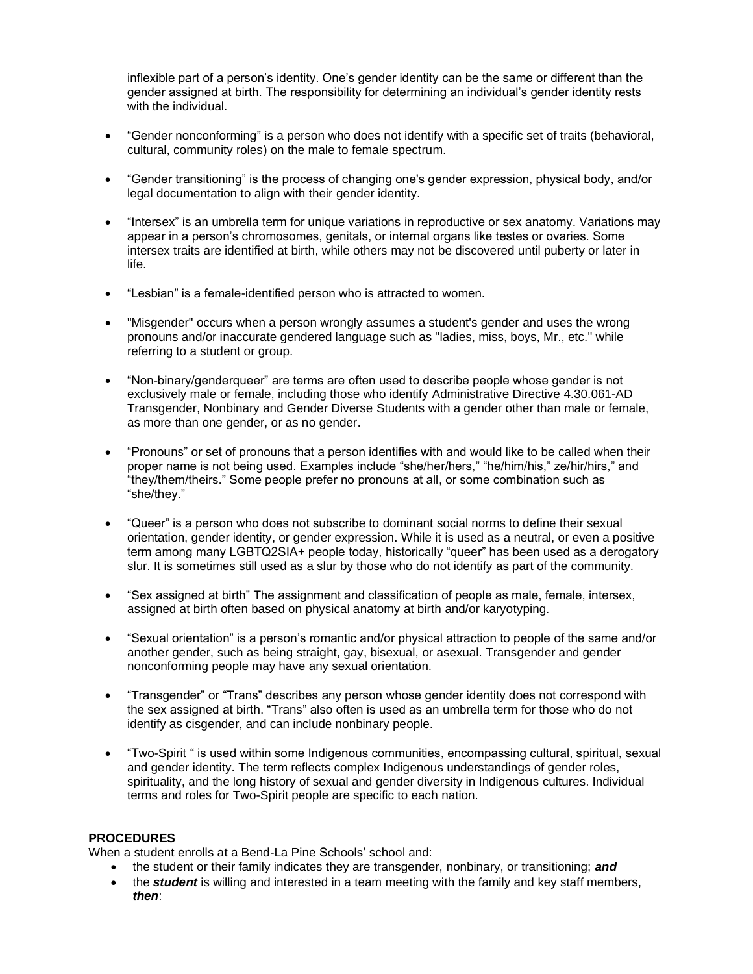inflexible part of a person's identity. One's gender identity can be the same or different than the gender assigned at birth. The responsibility for determining an individual's gender identity rests with the individual.

- "Gender nonconforming" is a person who does not identify with a specific set of traits (behavioral, cultural, community roles) on the male to female spectrum.
- "Gender transitioning" is the process of changing one's gender expression, physical body, and/or legal documentation to align with their gender identity.
- "Intersex" is an umbrella term for unique variations in reproductive or sex anatomy. Variations may appear in a person's chromosomes, genitals, or internal organs like testes or ovaries. Some intersex traits are identified at birth, while others may not be discovered until puberty or later in life.
- "Lesbian" is a female-identified person who is attracted to women.
- "Misgender" occurs when a person wrongly assumes a student's gender and uses the wrong pronouns and/or inaccurate gendered language such as "ladies, miss, boys, Mr., etc." while referring to a student or group.
- "Non-binary/genderqueer" are terms are often used to describe people whose gender is not exclusively male or female, including those who identify Administrative Directive 4.30.061-AD Transgender, Nonbinary and Gender Diverse Students with a gender other than male or female, as more than one gender, or as no gender.
- "Pronouns" or set of pronouns that a person identifies with and would like to be called when their proper name is not being used. Examples include "she/her/hers," "he/him/his," ze/hir/hirs," and "they/them/theirs." Some people prefer no pronouns at all, or some combination such as "she/they."
- "Queer" is a person who does not subscribe to dominant social norms to define their sexual orientation, gender identity, or gender expression. While it is used as a neutral, or even a positive term among many LGBTQ2SIA+ people today, historically "queer" has been used as a derogatory slur. It is sometimes still used as a slur by those who do not identify as part of the community.
- "Sex assigned at birth" The assignment and classification of people as male, female, intersex, assigned at birth often based on physical anatomy at birth and/or karyotyping.
- "Sexual orientation" is a person's romantic and/or physical attraction to people of the same and/or another gender, such as being straight, gay, bisexual, or asexual. Transgender and gender nonconforming people may have any sexual orientation.
- "Transgender" or "Trans" describes any person whose gender identity does not correspond with the sex assigned at birth. "Trans" also often is used as an umbrella term for those who do not identify as cisgender, and can include nonbinary people.
- "Two-Spirit " is used within some Indigenous communities, encompassing cultural, spiritual, sexual and gender identity. The term reflects complex Indigenous understandings of gender roles, spirituality, and the long history of sexual and gender diversity in Indigenous cultures. Individual terms and roles for Two-Spirit people are specific to each nation.

## **PROCEDURES**

When a student enrolls at a Bend-La Pine Schools' school and:

- the student or their family indicates they are transgender, nonbinary, or transitioning; *and*
- the *student* is willing and interested in a team meeting with the family and key staff members, *then*: